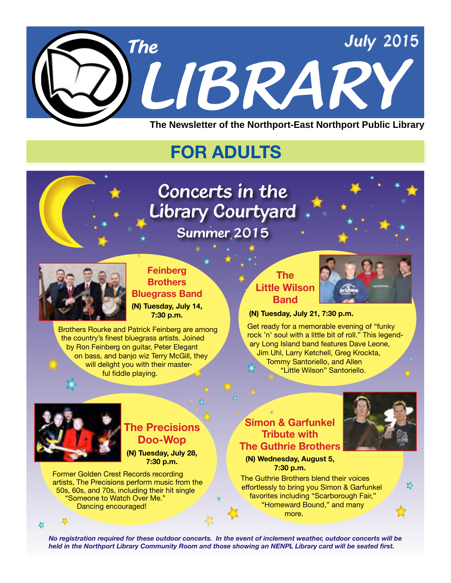

## **FOR ADULTS**



*Concerts in the Library Courtyard Summer 2015*



#### **Feinberg Brothers Bluegrass Band**

**(N) Tuesday, July 14, 7:30 p.m.**

Brothers Rourke and Patrick Feinberg are among the country's finest bluegrass artists. Joined by Ron Feinberg on guitar, Peter Elegant on bass, and banjo wiz Terry McGill, they will delight you with their masterful fiddle playing.

#### **The Little Wilson Band**



 $\blacktriangleright$ 

**(N) Tuesday, July 21, 7:30 p.m.**

Get ready for a memorable evening of "funky rock 'n' soul with a little bit of roll." This legendary Long Island band features Dave Leone, Jim Uhl, Larry Ketchell, Greg Krockta, Tommy Santoriello, and Allen "Little Wilson" Santoriello.



互

### **The Precisions Doo-Wop**

**(N) Tuesday, July 28, 7:30 p.m.**

Former Golden Crest Records recording artists, The Precisions perform music from the 50s, 60s, and 70s, including their hit single "Someone to Watch Over Me." Dancing encouraged!

#### **Simon & Garfunkel Tribute with The Guthrie Brothers**



favorites including "Scarborough Fair," favorites including "Scarborough Fair,"<br>``` "Homeward Bound," and many bring you such Si- more. The Guthrie Brothers blend their voices effortlessly to bring you Simon & Garfunkel

*No registration required for these outdoor concerts. In the event of inclement weather, outdoor concerts will be held in the Northport Library Community Room and those showing an NENPL Library card will be seated first.*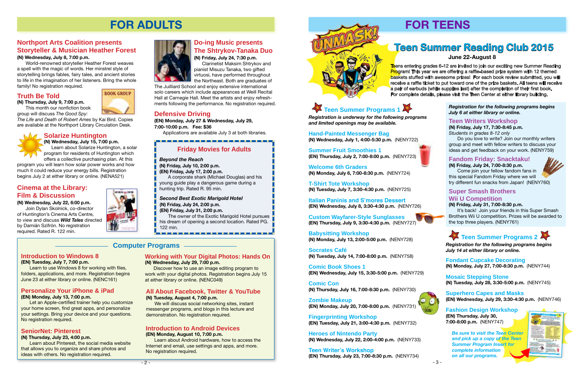

#### **Truth Be Told**

**(N) Thursday, July 9, 7:00 p.m.** This month our nonfiction book group will discuss *The Good Spy:* 



*The Life and Death of Robert Ames* by Kai Bird. Copies are available at the Northport Library Circulation Desk.

**BOOK GROUP**

#### **Computer Programs**

#### **Introduction to Windows 8**

#### **(EN) Tuesday, July 7, 7:00 p.m.**

Learn to use Windows 8 for working with files, folders, applications, and more. Registration begins June 23 at either library or online. [\(NENC161\)](http://alpha2.suffolk.lib.ny.us/search/?searchtype=X&SORT=D&searcharg=nenc161&searchscope=43)

## **FOR ADULTS**

#### **Working with Your Digital Photos: Hands On (N) Wednesday, July 29, 7:00 p.m.**

Discover how to use an image editing program to work with your digital photos. Registration begins July 15 at either library or online. [\(NENC049\)](http://alpha2.suffolk.lib.ny.us/search/?searchtype=X&SORT=D&searcharg=nenc049&searchscope=43)

#### **Personalize Your iPhone & iPad**

#### **(EN) Monday, July 13, 7:00 p.m.**

Let an Apple-certified trainer help you customize your home screen, find great apps, and personalize your settings. Bring your device and your questions. No registration required.

#### **SeniorNet: Pinterest**

#### **(N) Thursday, July 23, 4:00 p.m.**

Learn about Pinterest, the social media website that allows you to organize and share photos and ideas with others. No registration required.

#### **All About Facebook, Twitter & YouTube**

#### **(N) Tuesday, August 4, 7:00 p.m.**

We will discuss social networking sites, instant messenger programs, and blogs in this lecture and demonstration. No registration required.

#### **Introduction to Android Devices**

#### **(EN) Monday, August 10, 7:00 p.m.**

Learn about Android hardware, how to access the Internet and email, use settings and apps, and more. No registration required.



#### **Northport Arts Coalition presents Storyteller & Musician Heather Forest**

#### **(N) Wednesday, July 8, 7:00 p.m.**

World-renowned storyteller Heather Forest weaves a spell with the magic of words. Her minstrel style of storytelling brings fables, fairy tales, and ancient stories to life in the imagination of her listeners. Bring the whole family! No registration required.

#### **Solarize Huntington**

Come join your fellow fandom fans in this special Fandom Friday where we will try different fun snacks from Japan! [\(NENY760](http://alpha2.suffolk.lib.ny.us/search/?searchtype=X&SORT=D&searcharg=neny760&searchscope=43))

**(N) Wednesday, July 15, 7:00 p.m.** Learn about Solarize Huntington, a solar program for residents of Huntington which offers a collective purchasing plan. At this

> It's back! Join your friends in this Super Smash Brothers Wii U competition. Prizes will be awarded to the top three players. [\(NENY761](http://alpha2.suffolk.lib.ny.us/search/?searchtype=X&SORT=D&searcharg=neny761&searchscope=43))

program you will learn how solar power works and how much it could reduce your energy bills. Registration begins July 2 at either library or online. ([NENA521](http://alpha2.suffolk.lib.ny.us/search/?searchtype=X&SORT=D&searcharg=nena521&searchscope=43))

#### **Defensive Driving**

**(EN) Monday, July 27 & Wednesday, July 29, 7:00-10:00 p.m. Fee: \$36**

Applications are available July 3 at both libraries.

#### **Do-ing Music presents The Shtrykov-Tanaka Duo**

**(N) Friday, July 24, 7:30 p.m.** Clarinetist Maksim Shtrykov and pianist Misuzu Tanaka, two gifted virtuosi, have performed throughout the Northeast. Both are graduates of

The Juilliard School and enjoy extensive international solo careers which include appearances at Weill Recital Hall at Carnegie Hall. Meet the artists and enjoy refreshments following the performance. No registration required.

#### **Cinema at the Library: Film & Discussion**

**(N) Wednesday, July 22, 6:00 p.m.** Join Dylan Skolnick, co-director of Huntington's Cinema Arts Centre, to view and discuss *Wild Tales* directed by Damián Szifrón. No registration required. Rated R. 122 min.



Teens entering grades 6-12 are invited to join our exciting new Summer Reading Program! This year we are offering a raffle-based prize system with 12 themed baskets stuffed with awesome prizes! For each book review submitted, you will receive a raffle ticket to put toward one of the prize baskets. All teens will receive a pair of earbuds (while supplies last) after the completion of their first book. For complete details, please visit the Teen Center at either library building.

*Beyond the Reach* **(N) Friday, July 10, 2:00 p.m. (EN) Friday, July 17, 2:00 p.m.** A corporate shark (Michael Douglas) and his young guide play a dangerous game during a hunting trip. Rated R. 95 min.

*Second Best Exotic Marigold Hotel* **(N) Friday, July 24, 2:00 p.m. (EN) Friday, July 31, 2:00 p.m.** The owner of the Exotic Marigold Hotel pursues his dream of opening a second location. Rated PG.

122 min.

#### **Friday Movies for Adults**



## **FOR TEENS**

**Teen Writers Workshop (N) Friday, July 17, 7:30-8:45 p.m.** *Students in grades 8-12 only*

Do you love to write? Join our monthly writers group and meet with fellow writers to discuss your ideas and get feedback on your work. [\(NENY759](http://alpha2.suffolk.lib.ny.us/search/?searchtype=X&SORT=D&searcharg=neny759&searchscope=43))

#### **Fandom Friday: Snacktaku!**

**(N) Friday, July 24, 7:00-8:30 p.m.**

*Registration for the following programs begins July 6 at either library or online.*

#### **Super Smash Brothers Wii U Competition**

#### **(N) Friday, July 31, 7:00-8:30 p.m.**

*Be sure to visit the Teen Center and pick up a copy of the Teen Summer Program Insert for complete information on all our programs.*



## **Teen Summer Programs 1**

*Registration is underway for the following programs and limited openings may be available.*

**Hand-Painted Messenger Bag (N) Wednesday, July 1, 4:00-5:30 p.m.** ([NENY722](http://alpha2.suffolk.lib.ny.us/search/?searchtype=X&SORT=D&searcharg=neny722&searchscope=43))

**Summer Fruit Smoothies 1 (EN) Thursday, July 2, 7:00-8:00 p.m.** [\(NENY723](http://alpha2.suffolk.lib.ny.us/search/?searchtype=X&SORT=D&searcharg=neny723&searchscope=43))

**Welcome 6th Graders (N) Monday, July 6, 7:00-8:30 p.m.** ([NENY724\)](http://alpha2.suffolk.lib.ny.us/search/?searchtype=X&SORT=D&searcharg=neny724&searchscope=43)

**T-Shirt Tote Workshop (N) Tuesday, July 7, 3:30-4:30 p.m.** [\(NENY725\)](http://alpha2.suffolk.lib.ny.us/search/?searchtype=X&SORT=D&searcharg=neny725&searchscope=43)

**Italian Paninis and S'mores Dessert (EN) Wednesday, July 8, 3:30-4:30 p.m.** [\(NENY726\)](http://alpha2.suffolk.lib.ny.us/search/?searchtype=X&SORT=D&searcharg=neny726&searchscope=43)

**Custom Wayfarer-Style Sunglasses (EN) Thursday, July 9, 3:30-4:30 p.m.** [\(NENY727](http://alpha2.suffolk.lib.ny.us/search/?searchtype=X&SORT=D&searcharg=neny727&searchscope=43))

**Babysitting Workshop (N) Monday, July 13, 2:00-5:00 p.m.** [\(NENY728](http://alpha2.suffolk.lib.ny.us/search/?searchtype=X&SORT=D&searcharg=neny728&searchscope=43))

**Socrates Café (N) Tuesday, July 14, 7:00-8:00 p.m.** ([NENY758](http://alpha2.suffolk.lib.ny.us/search/?searchtype=X&SORT=D&searcharg=neny758&searchscope=43))

**Comic Book Shoes 1 (EN) Wednesday, July 15, 3:30-5:00 p.m.** ([NENY729](http://alpha2.suffolk.lib.ny.us/search/?searchtype=X&SORT=D&searcharg=neny729&searchscope=43))

**Comic Con (N) Thursday, July 16, 7:00-8:30 p.m.** ([NENY730](http://alpha2.suffolk.lib.ny.us/search/?searchtype=X&SORT=D&searcharg=neny730&searchscope=43))

**Zombie Makeup (EN) Monday, July 20, 7:00-8:00 p.m.** ([NENY731\)](http://alpha2.suffolk.lib.ny.us/search/?searchtype=X&SORT=D&searcharg=neny731&searchscope=43)

**Fingerprinting Workshop (EN) Tuesday, July 21, 3:00-4:30 p.m.** [\(NENY732\)](http://alpha2.suffolk.lib.ny.us/search/?searchtype=X&SORT=D&searcharg=neny732&searchscope=43)

**Heroes of Nintendo Party (N) Wednesday, July 22, 2:00-4:00 p.m.** [\(NENY733\)](http://alpha2.suffolk.lib.ny.us/search/?searchtype=X&SORT=D&searcharg=neny733&searchscope=43)

**Teen Writer's Workshop (EN) Thursday, July 23, 7:00-8:30 p.m.** [\(NENY734\)](http://alpha2.suffolk.lib.ny.us/search/?searchtype=X&SORT=D&searcharg=neny734&searchscope=43)



*Registration for the following programs begins July 14 at either library or online.*

**Fondant Cupcake Decorating (N) Monday, July 27, 7:00-8:30 p.m.** [\(NENY744](http://alpha2.suffolk.lib.ny.us/search/?searchtype=X&SORT=D&searcharg=neny744&searchscope=43))

**Mosaic Stepping Stone (N) Tuesday, July 28, 3:30-5:00 p.m.** ([NENY745](http://alpha2.suffolk.lib.ny.us/search/?searchtype=X&SORT=D&searcharg=neny745&searchscope=43))

**Superhero Capes and Masks (EN) Wednesday, July 29, 3:30-4:30 p.m.** ([NENY746](http://alpha2.suffolk.lib.ny.us/search/?searchtype=X&SORT=D&searcharg=neny746&searchscope=43))

**Fashion Design Workshop (EN) Thursday, July 30, 7:00-8:00 p.m.** ([NENY747](http://alpha2.suffolk.lib.ny.us/search/?searchtype=X&SORT=D&searcharg=neny747&searchscope=43))

**June 22-August 8**

## **Teen Summer Reading Club 2015**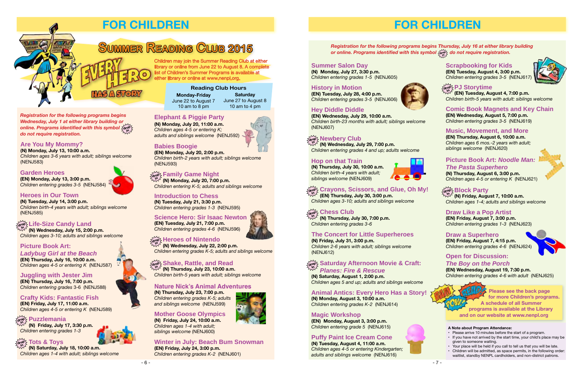## **FOR CHILDREN**

**Please see the back page for more Children's programs. A schedule of all Summer programs is available at the Library and on our website at www.nenpl.org**

#### **A Note about Program Attendance:**

- Please arrive 10 minutes before the start of a program.
- If you have not arrived by the start time, your child's place may be given to someone waiting.
- Your place will be held if you call to tell us that you will be late.
- Children will be admitted, as space permits, in the following order: waitlist, standby NENPL cardholders, and non-district patrons.

**in (N) Thursday, July 30, 7:00 p.m.**  *Children entering grades 3-6* 

#### **drop in Crayons, Scissors, and Glue, Oh My! (EN) Thursday, July 30, 3:00 p.m.**

**Summer Salon Day (N) Monday, July 27, 3:30 p.m.** 

*Children entering grades 1-5* [\(NENJ605\)](http://alpha2.suffolk.lib.ny.us/search/?searchtype=X&SORT=D&searcharg=nenj605&searchscope=43)

#### **The Concert for Little Superheroes**

# **(N) Friday, July 31, 3:00 p.m.**

# *Children 2-6 years with adult; siblings welcome*

([NENJ612](http://alpha2.suffolk.lib.ny.us/search/?searchtype=X&SORT=D&searcharg=nenj612&searchscope=43))

*Children ages 3-10; adults and siblings welcome*

 $\frac{\sum\limits_{\text{def}}\sum\limits_{\text{def}}\sigma}{\sum\limits_{\text{def}}\sigma}$  Chess Club

**Hop on that Train**

**(N) Thursday, July 30, 10:00 a.m.** *Children birth-4 years with adult; siblings welcome* ([NENJ609](http://alpha2.suffolk.lib.ny.us/search/?searchtype=X&SORT=D&searcharg=nenj609&searchscope=43))



**Hey Diddle Diddle** 

**(EN) Wednesday, July 29, 10:00 a.m.** 

*Children birth-23 months with adult; siblings welcome*

[\(NENJ607\)](http://alpha2.suffolk.lib.ny.us/search/?searchtype=X&SORT=D&searcharg=nenj607&searchscope=43)

**History in Motion**

**(EN) Tuesday, July 28, 4:00 p.m.** *Children entering grades 3-5* [\(NENJ606\)](http://alpha2.suffolk.lib.ny.us/search/?searchtype=X&SORT=D&searcharg=nenj606&searchscope=43)

#### **Magic Workshop**

**(EN) Monday, August 3, 3:00 p.m.**  *Children entering grade 5* ([NENJ615](http://alpha2.suffolk.lib.ny.us/search/?searchtype=X&SORT=D&searcharg=nenj615&searchscope=43))

#### **Animal Antics: Every Hero Has a Story!**

**(N) Monday, August 3, 10:00 a.m.** *Children entering grades K-2* [\(NENJ614\)](http://alpha2.suffolk.lib.ny.us/search/?searchtype=X&SORT=D&searcharg=nenj614searchscope=43)

#### $\mathbb{Z}_{\text{avg}}^{\infty}$  Saturday Afternoon Movie & Craft: **in**



**drop in Newbery Club (N) Wednesday, July 29, 7:00 p.m.**  *Children entering grades 4 and up; adults welcome*

*Planes: Fire & Rescue*

**(N) Saturday, August 1, 2:00 p.m.**  *Children ages 5 and up; adults and siblings welcome*

#### **Puffy Paint Ice Cream Cone**

**(N) Tuesday, August 4, 11:00 a.m.**  *Children ages 4-5 or entering Kindergarten; adults and siblings welcome* [\(NENJ616\)](http://alpha2.suffolk.lib.ny.us/search/?searchtype=X&SORT=D&searcharg=nenj616&searchscope=43)



*Registration for the following programs begins Thursday, July 16 at either library building or online. Programs identified with this symbol do not require registration.* **drop in**

#### **Music, Movement, and More**

**(EN) Thursday, August 6, 10:00 a.m.** *Children ages 6 mos.-2 years with adult; siblings welcome* ([NENJ620](http://alpha2.suffolk.lib.ny.us/search/?searchtype=X&SORT=D&searcharg=nenj620&searchscope=43))

**Comic Book Magnets and Key Chain (EN) Wednesday, August 5, 7:00 p.m.** *Children entering grades 3-5* [\(NENJ619\)](http://alpha2.suffolk.lib.ny.us/search/?searchtype=X&SORT=D&searcharg=nenj619&searchscope=43)

**PJ Storytime drop in (EN) Tuesday, August 4, 7:00 p.m.** *Children birth-5 years with adult: siblings welcome*

**Scrapbooking for Kids (EN) Tuesday, August 4, 3:00 p.m.**  *Children entering grades 3-5* [\(NENJ617\)](http://alpha2.suffolk.lib.ny.us/search/?searchtype=X&SORT=D&searcharg=nenj617&searchscope=43)



**Draw Like a Pop Artist (EN) Friday, August 7, 3:00 p.m.** *Children entering grades 1-3* [\(NENJ623\)](http://alpha2.suffolk.lib.ny.us/search/?searchtype=X&SORT=D&searcharg=nenj623&searchscope=43)

#### **Picture Book Art:** *Noodle Man:*

 $\sqrt[N]{2}$  (N) Wednesday, July 15, 2:00 p.m. *Children ages 3-10; adults and siblings welcome*

*The Pasta Superhero* **(N) Thursday, August 6, 3:00 p.m.**  *Children ages 4-5 or entering K* [\(NENJ621\)](http://alpha2.suffolk.lib.ny.us/search/?searchtype=X&SORT=D&searcharg=nenj621&searchscope=43)

#### **Open for Discussion:**

*The Boy on the Porch*

#### **Block Party drop**

**(N) Friday, August 7, 10:00 a.m.**  *Children ages 1-4; adults and siblings welcome* **in**

**(EN) Wednesday, August 19, 7:30 p.m.**  *Children entering grades 4-6 with adult* ([NENJ625\)](http://alpha2.suffolk.lib.ny.us/search/?searchtype=X&SORT=D&searcharg=nenj625&searchscope=43)

#### **Draw a Superhero**

**(EN) Friday, August 7, 4:15 p.m.** *Children entering grades 4-6* [\(NENJ624\)](http://alpha2.suffolk.lib.ny.us/search/?searchtype=X&SORT=D&searcharg=nenj624&searchscope=43)





## **FOR CHILDREN**

 $\bullet$ 

**MSASTOR** 

## **Summer Reading Club 2015**

Children may join the Summer Reading Club at either library or online from June 22 to August 8. A complete list of Children's Summer Programs is available at either library or online at www.nenpl.org.

#### **Winter in July: Beach Bum Snowman**

**(EN) Friday, July 24, 3:00 p.m.** *Children entering grades K-2* ([NENJ601\)](http://alpha2.suffolk.lib.ny.us/search/?searchtype=X&SORT=D&searcharg=nenj601&searchscope=43)



**Crafty Kids: Fantastic Fish (EN) Friday, July 17, 11:00 a.m.**  *Children ages 4-5 or entering K* ([NENJ589](http://alpha2.suffolk.lib.ny.us/search/?searchtype=X&SORT=D&searcharg=nenj589&searchscope=43))

**(N) Friday, July 17, 3:30 p.m.**  *Children entering grades 1-3* 

#### $\frac{1}{\text{deg}^2}$  Tots & Toys



*Children ages 4-5 or entering K; adults and siblings welcome* ([NENJ592](http://alpha2.suffolk.lib.ny.us/search/?searchtype=X&SORT=D&searcharg=nenj592&searchscope=43))

#### **Babies Boogie**



**(EN) Monday, July 20, 2:00 p.m.** *Children birth-2 years with adult; siblings welcome* ([NENJ593](http://alpha2.suffolk.lib.ny.us/search/?searchtype=X&SORT=D&searcharg=nenj593&searchscope=43))

**(N) Monday, July 20, 7:00 p.m.**  *Children entering K-5; adults and siblings welcome*

#### **Introduction to Chess (N) Tuesday, July 21, 3:30 p.m.**

*Children entering grades 1-3* [\(NENJ595\)](http://alpha2.suffolk.lib.ny.us/search/?searchtype=X&SORT=D&searcharg=nenj595&searchscope=43)

#### **Science Hero: Sir Isaac Newton**

**(EN) Tuesday, July 21, 7:00 p.m.** *Children entering grades 4-6* [\(NENJ596\)](http://alpha2.suffolk.lib.ny.us/search/?searchtype=X&SORT=D&searcharg=nenj596&searchscope=43)

*Registration for the following programs begins Wednesday, July 1 at either library building or online. Programs identified with this symbol*  **drop**  *do not require registration.* **in**

> **(N) Wednesday, July 22, 2:00 p.m.**  *Children entering grades K-5; adults and siblings welcome*

#### **Nature Nick's Animal Adventures**

### **Puzzlemania drop in**

**(N) Thursday, July 23, 7:00 p.m.** *Children entering grades K-5; adults and siblings welcome* [\(NENJ599](http://alpha2.suffolk.lib.ny.us/search/?searchtype=X&SORT=D&searcharg=nenj599&searchscope=43))

**(N) Saturday, July 18, 10:00 a.m.**  *Children ages 1-4 with adult; siblings welcome* **in**

#### **Mother Goose Olympics**

**(N) Friday, July 24, 10:00 a.m.**  *Children ages 1-4 with adult; siblings welcome* ([NENJ600](http://alpha2.suffolk.lib.ny.us/search/?searchtype=X&SORT=D&searcharg=nenj600&searchscope=43))

#### **Are You My Mommy?**

#### **Family Game Night drop in**

**(N) Monday, July 13, 10:00 a.m.** *Children ages 3-6 years with adult; siblings welcome* ([NENJ583](http://alpha2.suffolk.lib.ny.us/search/?searchtype=X&SORT=D&searcharg=nenj583&searchscope=43))

#### **Garden Heroes**

**(EN) Monday, July 13, 3:00 p.m.**  *Children entering grades 3-5* [\(NENJ584\)](http://alpha2.suffolk.lib.ny.us/search/?searchtype=X&SORT=D&searcharg=nenj584&searchscope=43)



**Shake, Rattle, and Read (N) Thursday, July 23, 10:00 a.m.**  *Children birth-5 years with adult; siblings welcome* **drop in**

**Heroes in Our Town (N) Tuesday, July 14, 3:00 p.m.** *Children birth-4 years with adult; siblings welcome* [\(NENJ585](http://alpha2.suffolk.lib.ny.us/search/?searchtype=X&SORT=D&searcharg=nenj585&searchscope=43))

#### $\frac{L}{\alpha}$ <u>જેટ્ર Life-Size Candy Land</u>

#### **Picture Book Art:**

*Ladybug Girl at the Beach* **(EN) Thursday, July 16, 10:00 a.m.**  *Children ages 4-5 or entering K* ([NENJ587](http://alpha2.suffolk.lib.ny.us/search/?searchtype=X&SORT=D&searcharg=nenj587&searchscope=43))

**Juggling with Jester Jim (EN) Thursday, July 16, 7:00 p.m.** *Children entering grades* 3-6 ([NENJ588](http://alpha2.suffolk.lib.ny.us/search/?searchtype=X&SORT=D&searcharg=nenj588&searchscope=43))

**Saturday** June 27 to August 8 10 am to 4 pm

#### **Reading Club Hours**

**Monday-Friday** June 22 to August 7 10 am to 8 pm